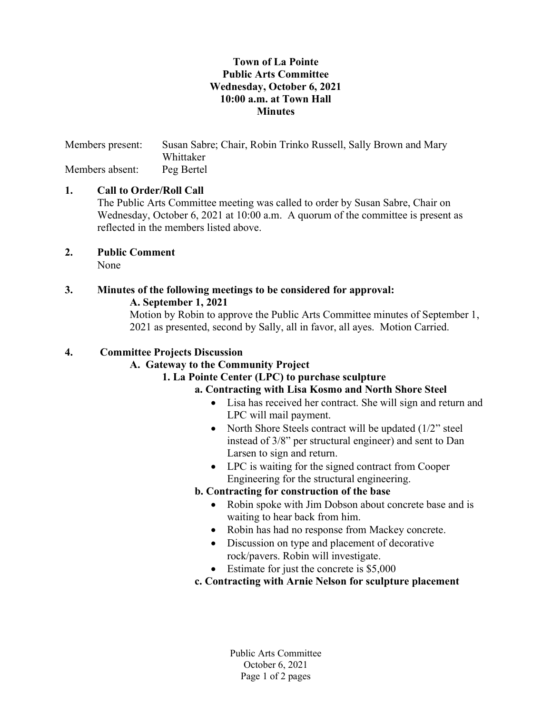### Town of La Pointe Public Arts Committee Wednesday, October 6, 2021 10:00 a.m. at Town Hall **Minutes**

Members present: Susan Sabre; Chair, Robin Trinko Russell, Sally Brown and Mary Whittaker Members absent: Peg Bertel

# 1. Call to Order/Roll Call

The Public Arts Committee meeting was called to order by Susan Sabre, Chair on Wednesday, October 6, 2021 at 10:00 a.m. A quorum of the committee is present as reflected in the members listed above.

2. Public Comment None

# 3. Minutes of the following meetings to be considered for approval: A. September 1, 2021

Motion by Robin to approve the Public Arts Committee minutes of September 1, 2021 as presented, second by Sally, all in favor, all ayes. Motion Carried.

## 4. Committee Projects Discussion

# A. Gateway to the Community Project

# 1. La Pointe Center (LPC) to purchase sculpture

# a. Contracting with Lisa Kosmo and North Shore Steel

- Lisa has received her contract. She will sign and return and LPC will mail payment.
- North Shore Steels contract will be updated (1/2" steel instead of 3/8" per structural engineer) and sent to Dan Larsen to sign and return.
- LPC is waiting for the signed contract from Cooper Engineering for the structural engineering.

#### b. Contracting for construction of the base

- Robin spoke with Jim Dobson about concrete base and is waiting to hear back from him.
- Robin has had no response from Mackey concrete.
- Discussion on type and placement of decorative rock/pavers. Robin will investigate.
- Estimate for just the concrete is \$5,000
- c. Contracting with Arnie Nelson for sculpture placement

Public Arts Committee October 6, 2021 Page 1 of 2 pages